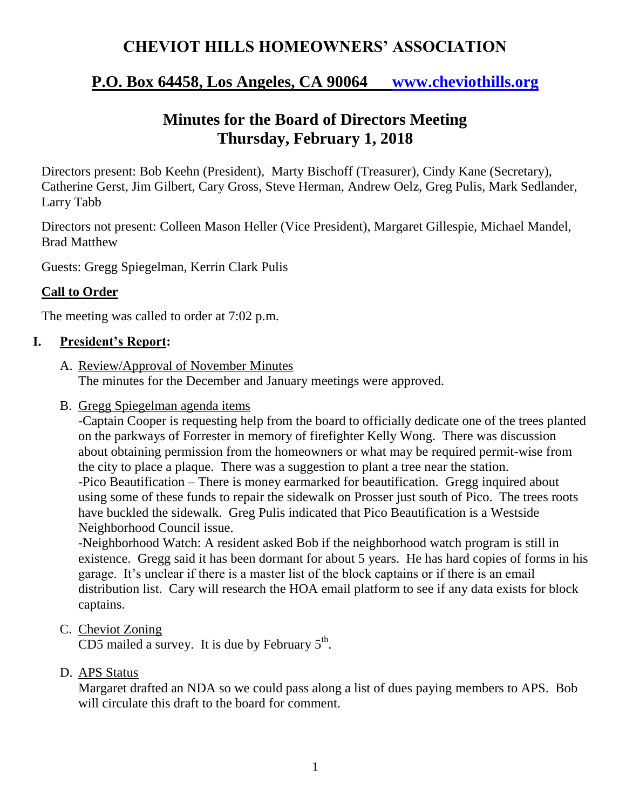# **CHEVIOT HILLS HOMEOWNERS' ASSOCIATION**

## **P.O. Box 64458, Los Angeles, CA 90064 [www.cheviothills.org](http://www.cheviothills.org/)**

# **Minutes for the Board of Directors Meeting Thursday, February 1, 2018**

Directors present: Bob Keehn (President), Marty Bischoff (Treasurer), Cindy Kane (Secretary), Catherine Gerst, Jim Gilbert, Cary Gross, Steve Herman, Andrew Oelz, Greg Pulis, Mark Sedlander, Larry Tabb

Directors not present: Colleen Mason Heller (Vice President), Margaret Gillespie, Michael Mandel, Brad Matthew

Guests: Gregg Spiegelman, Kerrin Clark Pulis

## **Call to Order**

The meeting was called to order at 7:02 p.m.

## **I. President's Report:**

- A. Review/Approval of November Minutes The minutes for the December and January meetings were approved.
- B. Gregg Spiegelman agenda items

-Captain Cooper is requesting help from the board to officially dedicate one of the trees planted on the parkways of Forrester in memory of firefighter Kelly Wong. There was discussion about obtaining permission from the homeowners or what may be required permit-wise from the city to place a plaque. There was a suggestion to plant a tree near the station. -Pico Beautification – There is money earmarked for beautification. Gregg inquired about using some of these funds to repair the sidewalk on Prosser just south of Pico. The trees roots have buckled the sidewalk. Greg Pulis indicated that Pico Beautification is a Westside Neighborhood Council issue.

-Neighborhood Watch: A resident asked Bob if the neighborhood watch program is still in existence. Gregg said it has been dormant for about 5 years. He has hard copies of forms in his garage. It's unclear if there is a master list of the block captains or if there is an email distribution list. Cary will research the HOA email platform to see if any data exists for block captains.

C. Cheviot Zoning

CD5 mailed a survey. It is due by February  $5<sup>th</sup>$ .

D. APS Status

Margaret drafted an NDA so we could pass along a list of dues paying members to APS. Bob will circulate this draft to the board for comment.